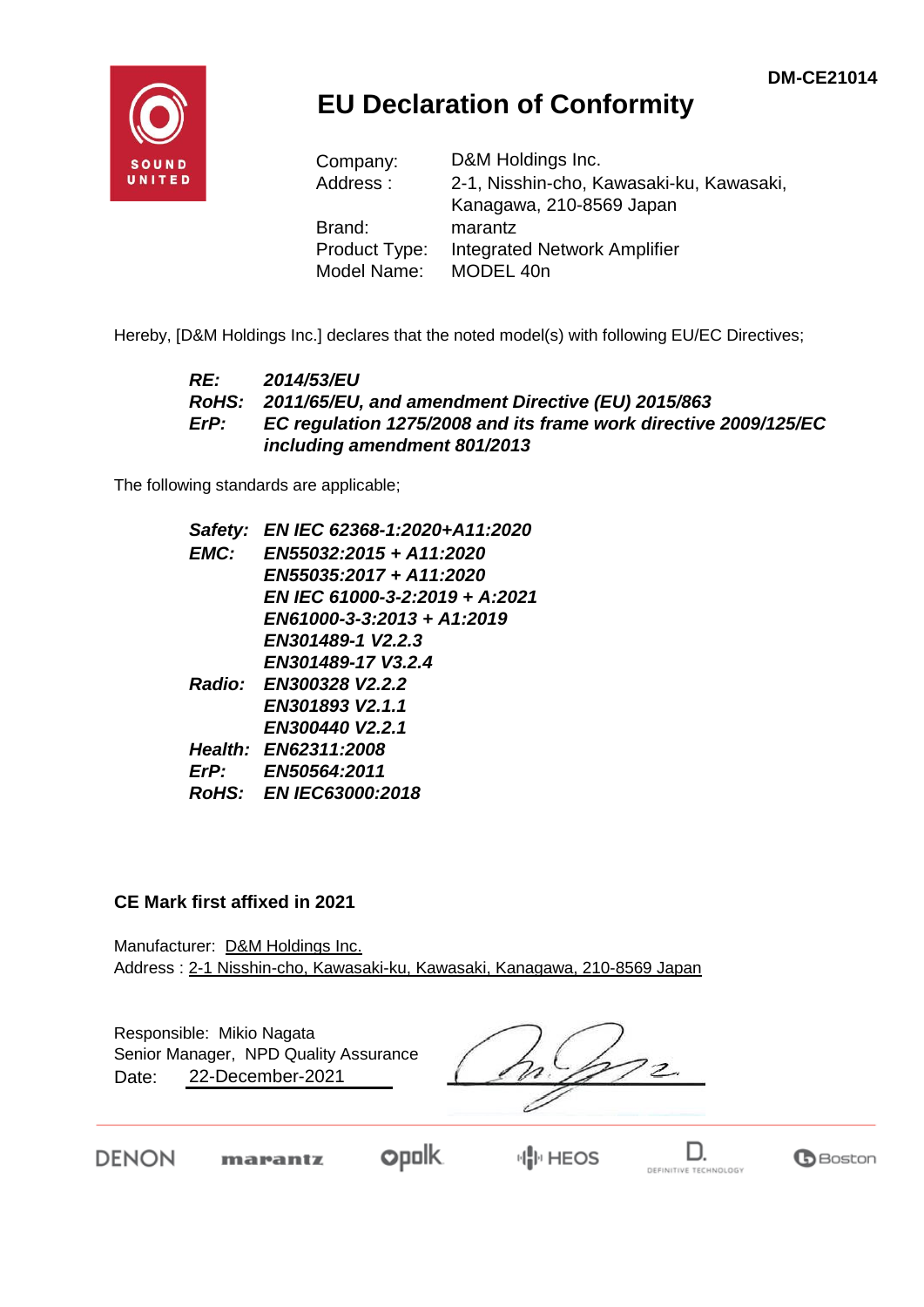

## **EU Declaration of Conformity**

| Company:             | D&M Holdings Inc.                        |  |  |  |
|----------------------|------------------------------------------|--|--|--|
| Address:             | 2-1, Nisshin-cho, Kawasaki-ku, Kawasaki, |  |  |  |
|                      | Kanagawa, 210-8569 Japan                 |  |  |  |
| Brand:               | marantz                                  |  |  |  |
| <b>Product Type:</b> | <b>Integrated Network Amplifier</b>      |  |  |  |
| Model Name:          | MODEL 40n                                |  |  |  |

Hereby, [D&M Holdings Inc.] declares that the noted model(s) with following EU/EC Directives;

#### *RE: 2014/53/EU RoHS: 2011/65/EU, and amendment Directive (EU) 2015/863 ErP: EC regulation 1275/2008 and its frame work directive 2009/125/EC including amendment 801/2013*

The following standards are applicable;

|      | Safety: EN IEC 62368-1:2020+A11:2020 |
|------|--------------------------------------|
| EMC: | EN55032:2015 + A11:2020              |
|      | EN55035:2017 + A11:2020              |
|      | EN IEC 61000-3-2:2019 + A:2021       |
|      | EN61000-3-3:2013 + A1:2019           |
|      | EN301489-1 V2.2.3                    |
|      | EN301489-17 V3.2.4                   |
|      | Radio: EN300328 V2.2.2               |
|      | EN301893 V2.1.1                      |
|      | EN300440 V2.2.1                      |
|      | Health: EN62311:2008                 |
|      | ErP: EN50564:2011                    |
|      | RoHS: EN IEC63000:2018               |
|      |                                      |

#### **CE Mark first affixed in 2021**

Manufacturer: D&M Holdings Inc. Address : 2-1 Nisshin-cho, Kawasaki-ku, Kawasaki, Kanagawa, 210-8569 Japan

Responsible: Mikio Nagata Date: 22-December-2021 Senior Manager, NPD Quality Assurance

**DENON** 

opolk marantz

**业 HEOS** 



D.

 $\mathbf \Theta$  Boston